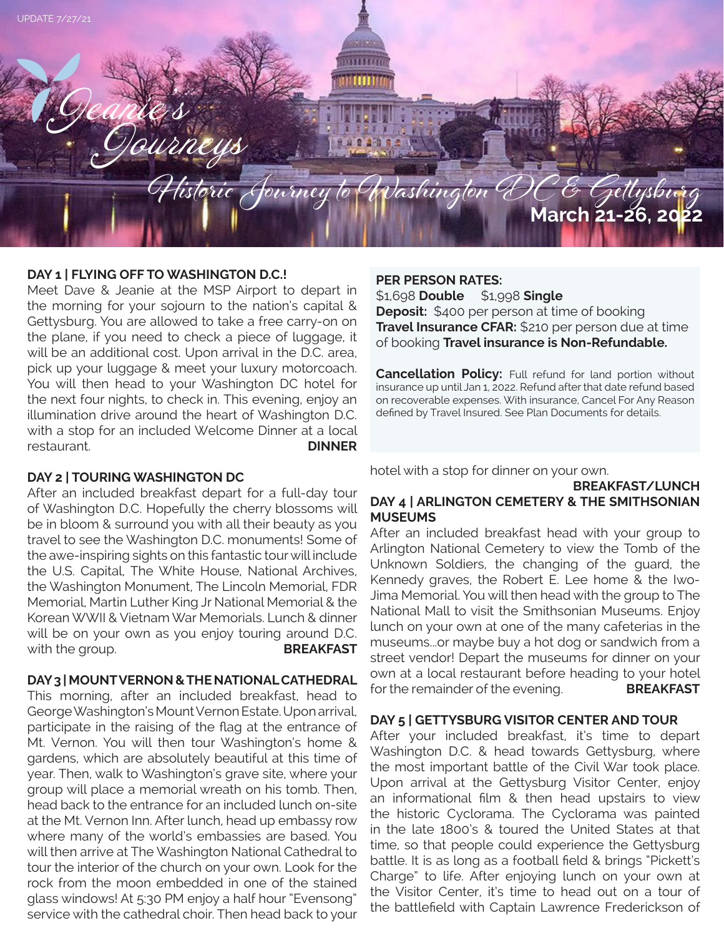

# **DAY 1 | FLYING OFF TO WASHINGTON D.C.!**

Meet Dave & Jeanie at the MSP Airport to depart in the morning for your sojourn to the nation's capital & Gettysburg. You are allowed to take a free carry-on on the plane, if you need to check a piece of luggage, it will be an additional cost. Upon arrival in the D.C. area, pick up your luggage & meet your luxury motorcoach. You will then head to your Washington DC hotel for the next four nights, to check in. This evening, enjoy an illumination drive around the heart of Washington D.C. with a stop for an included Welcome Dinner at a local restaurant. **DINNER**

# **DAY 2 | TOURING WASHINGTON DC**

After an included breakfast depart for a full-day tour of Washington D.C. Hopefully the cherry blossoms will be in bloom & surround you with all their beauty as you travel to see the Washington D.C. monuments! Some of the awe-inspiring sights on this fantastic tour will include the U.S. Capital, The White House, National Archives, the Washington Monument, The Lincoln Memorial, FDR Memorial, Martin Luther King Jr National Memorial & the Korean WWII & Vietnam War Memorials. Lunch & dinner will be on your own as you enjoy touring around D.C. with the group. **BREAKFAST** 

# **DAY 3 | MOUNT VERNON & THE NATIONAL CATHEDRAL**

This morning, after an included breakfast, head to George Washington's Mount Vernon Estate. Upon arrival, participate in the raising of the flag at the entrance of Mt. Vernon. You will then tour Washington's home & gardens, which are absolutely beautiful at this time of year. Then, walk to Washington's grave site, where your group will place a memorial wreath on his tomb. Then, head back to the entrance for an included lunch on-site at the Mt. Vernon Inn. After lunch, head up embassy row where many of the world's embassies are based. You will then arrive at The Washington National Cathedral to tour the interior of the church on your own. Look for the rock from the moon embedded in one of the stained glass windows! At 5:30 PM enjoy a half hour "Evensong" service with the cathedral choir. Then head back to your

#### **PER PERSON RATES:**

\$1,698 **Double** \$1,998 **Single Deposit:** \$400 per person at time of booking **Travel Insurance CFAR:** \$210 per person due at time of booking **Travel insurance is Non-Refundable.**

**Cancellation Policy:** Full refund for land portion without insurance up until Jan 1, 2022. Refund after that date refund based on recoverable expenses. With insurance, Cancel For Any Reason defined by Travel Insured. See Plan Documents for details.

#### hotel with a stop for dinner on your own.

# **BREAKFAST/LUNCH DAY 4 | ARLINGTON CEMETERY & THE SMITHSONIAN MUSEUMS**

After an included breakfast head with your group to Arlington National Cemetery to view the Tomb of the Unknown Soldiers, the changing of the guard, the Kennedy graves, the Robert E. Lee home & the Iwo-Jima Memorial. You will then head with the group to The National Mall to visit the Smithsonian Museums. Enjoy lunch on your own at one of the many cafeterias in the museums...or maybe buy a hot dog or sandwich from a street vendor! Depart the museums for dinner on your own at a local restaurant before heading to your hotel for the remainder of the evening. **BREAKFAST**

#### **DAY 5 | GETTYSBURG VISITOR CENTER AND TOUR**

After your included breakfast, it's time to depart Washington D.C. & head towards Gettysburg, where the most important battle of the Civil War took place. Upon arrival at the Gettysburg Visitor Center, enjoy an informational film & then head upstairs to view the historic Cyclorama. The Cyclorama was painted in the late 1800's & toured the United States at that time, so that people could experience the Gettysburg battle. It is as long as a football field & brings "Pickett's Charge" to life. After enjoying lunch on your own at the Visitor Center, it's time to head out on a tour of the battlefield with Captain Lawrence Frederickson of